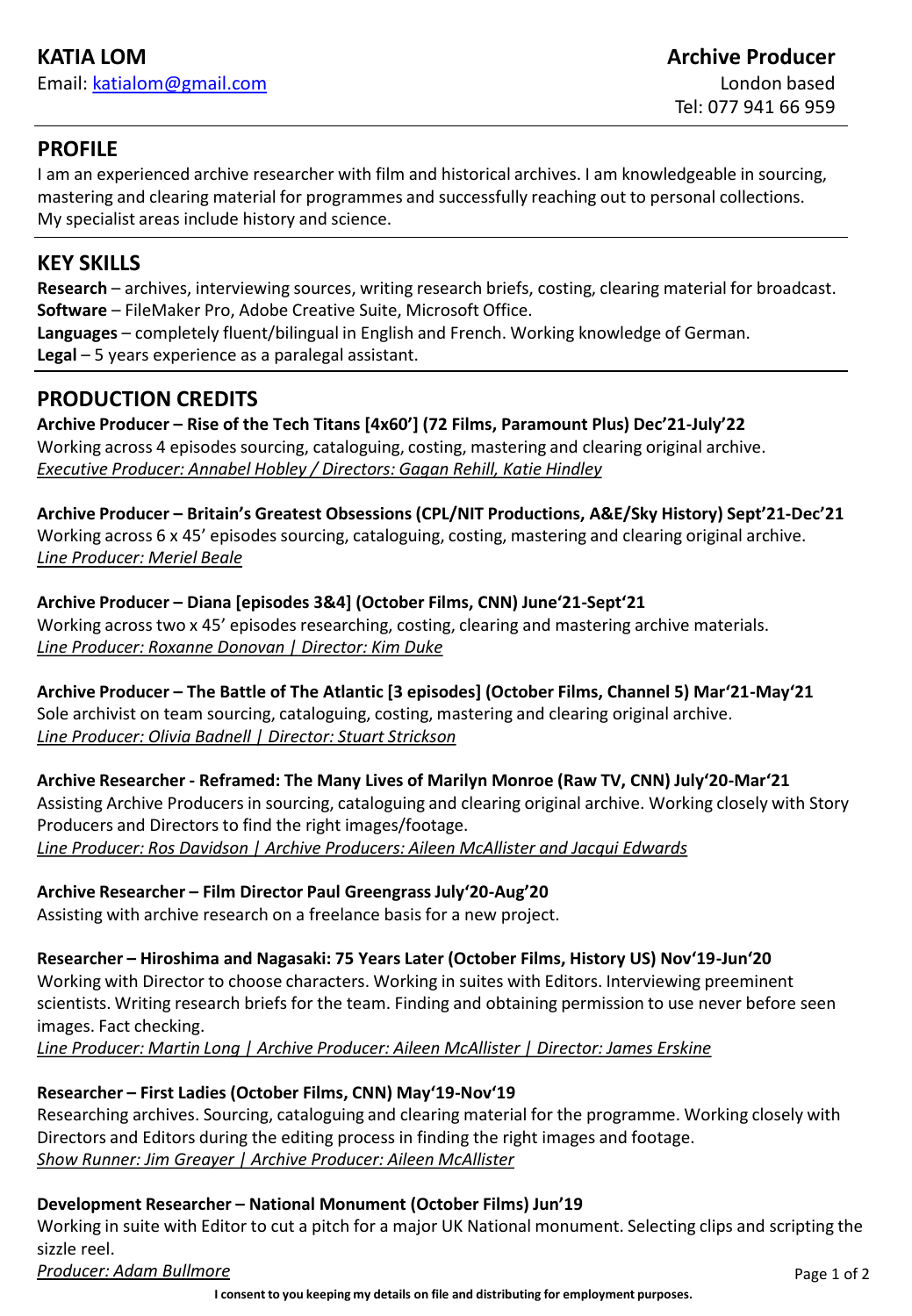## **PROFILE**

I am an experienced archive researcher with film and historical archives. I am knowledgeable in sourcing, mastering and clearing material for programmes and successfully reaching out to personal collections. My specialist areas include history and science.

# **KEY SKILLS**

**Research** – archives, interviewing sources, writing research briefs, costing, clearing material for broadcast. **Software** – FileMaker Pro, Adobe Creative Suite, Microsoft Office.

**Languages** – completely fluent/bilingual in English and French. Working knowledge of German. **Legal** – 5 years experience as a paralegal assistant.

# **PRODUCTION CREDITS**

**Archive Producer – Rise of the Tech Titans [4x60'] (72 Films, Paramount Plus) Dec'21-July'22** Working across 4 episodes sourcing, cataloguing, costing, mastering and clearing original archive. *Executive Producer: Annabel Hobley / Directors: Gagan Rehill, Katie Hindley*

**Archive Producer – Britain's Greatest Obsessions (CPL/NIT Productions, A&E/Sky History) Sept'21-Dec'21** Working across 6 x 45' episodes sourcing, cataloguing, costing, mastering and clearing original archive. *Line Producer: Meriel Beale*

**Archive Producer – Diana [episodes 3&4] (October Films, CNN) June'21-Sept'21** Working across two x 45' episodes researching, costing, clearing and mastering archive materials. *Line Producer: Roxanne Donovan | Director: Kim Duke*

**Archive Producer – The Battle of The Atlantic [3 episodes] (October Films, Channel 5) Mar'21-May'21** Sole archivist on team sourcing, cataloguing, costing, mastering and clearing original archive. *Line Producer: Olivia Badnell | Director: Stuart Strickson*

**Archive Researcher - Reframed: The Many Lives of Marilyn Monroe (Raw TV, CNN) July'20-Mar'21** Assisting Archive Producers in sourcing, cataloguing and clearing original archive. Working closely with Story Producers and Directors to find the right images/footage. *Line Producer: Ros Davidson | Archive Producers: Aileen McAllister and Jacqui Edwards*

## **Archive Researcher – Film Director Paul Greengrass July'20-Aug'20**

Assisting with archive research on a freelance basis for a new project.

**Researcher – Hiroshima and Nagasaki: 75 Years Later (October Films, History US) Nov'19-Jun'20** Working with Director to choose characters. Working in suites with Editors. Interviewing preeminent scientists. Writing research briefs for the team. Finding and obtaining permission to use never before seen images. Fact checking.

*Line Producer: Martin Long | Archive Producer: Aileen McAllister | Director: James Erskine*

## **Researcher – First Ladies (October Films, CNN) May'19-Nov'19**

Researching archives. Sourcing, cataloguing and clearing material for the programme. Working closely with Directors and Editors during the editing process in finding the right images and footage. *Show Runner: Jim Greayer | Archive Producer: Aileen McAllister*

## **Development Researcher – National Monument (October Films) Jun'19**

Working in suite with Editor to cut a pitch for a major UK National monument. Selecting clips and scripting the sizzle reel.

*Producer: Adam Bullmore*